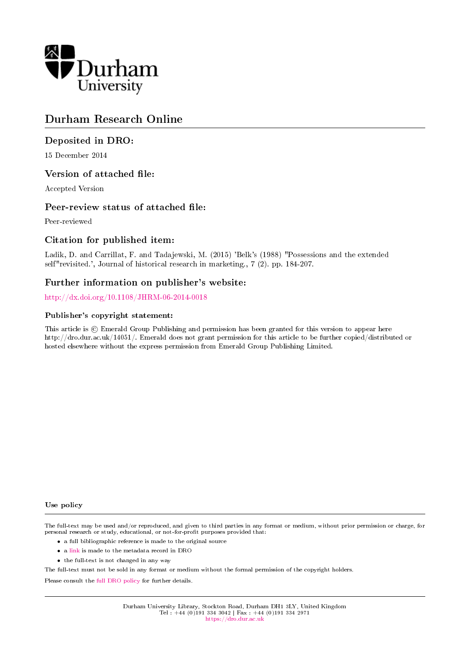

# Durham Research Online

### Deposited in DRO:

15 December 2014

### Version of attached file:

Accepted Version

### Peer-review status of attached file:

Peer-reviewed

### Citation for published item:

Ladik, D. and Carrillat, F. and Tadajewski, M. (2015) 'Belk's (1988) "Possessions and the extended self"revisited.', Journal of historical research in marketing., 7 (2). pp. 184-207.

### Further information on publisher's website:

<http://dx.doi.org/10.1108/JHRM-06-2014-0018>

#### Publisher's copyright statement:

This article is  $\odot$  Emerald Group Publishing and permission has been granted for this version to appear here http://dro.dur.ac.uk/14051/. Emerald does not grant permission for this article to be further copied/distributed or hosted elsewhere without the express permission from Emerald Group Publishing Limited.

#### Use policy

The full-text may be used and/or reproduced, and given to third parties in any format or medium, without prior permission or charge, for personal research or study, educational, or not-for-profit purposes provided that:

- a full bibliographic reference is made to the original source
- a [link](http://dro.dur.ac.uk/14051/) is made to the metadata record in DRO
- the full-text is not changed in any way

The full-text must not be sold in any format or medium without the formal permission of the copyright holders.

Please consult the [full DRO policy](https://dro.dur.ac.uk/policies/usepolicy.pdf) for further details.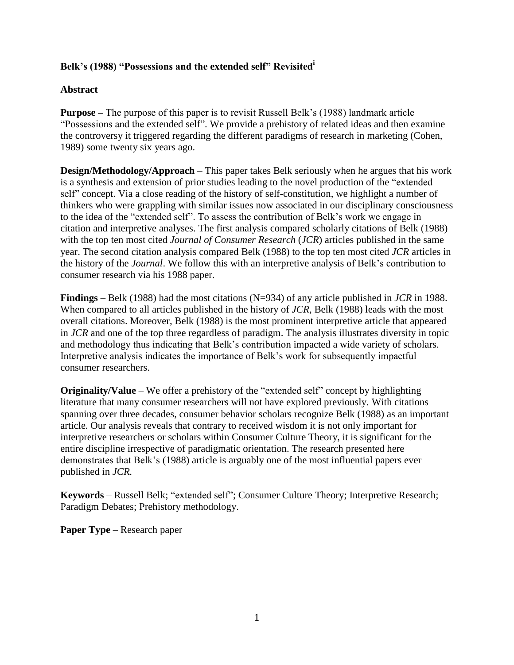## **Belk's (1988) "Possessions and the extended self" Revisited<sup>i</sup>**

### **Abstract**

**Purpose –** The purpose of this paper is to revisit Russell Belk's (1988) landmark article "Possessions and the extended self". We provide a prehistory of related ideas and then examine the controversy it triggered regarding the different paradigms of research in marketing (Cohen, 1989) some twenty six years ago.

**Design/Methodology/Approach** – This paper takes Belk seriously when he argues that his work is a synthesis and extension of prior studies leading to the novel production of the "extended self" concept. Via a close reading of the history of self-constitution, we highlight a number of thinkers who were grappling with similar issues now associated in our disciplinary consciousness to the idea of the "extended self". To assess the contribution of Belk's work we engage in citation and interpretive analyses. The first analysis compared scholarly citations of Belk (1988) with the top ten most cited *Journal of Consumer Research* (*JCR*) articles published in the same year. The second citation analysis compared Belk (1988) to the top ten most cited *JCR* articles in the history of the *Journal*. We follow this with an interpretive analysis of Belk's contribution to consumer research via his 1988 paper.

**Findings** – Belk (1988) had the most citations (N=934) of any article published in *JCR* in 1988. When compared to all articles published in the history of *JCR*, Belk (1988) leads with the most overall citations. Moreover, Belk (1988) is the most prominent interpretive article that appeared in *JCR* and one of the top three regardless of paradigm. The analysis illustrates diversity in topic and methodology thus indicating that Belk's contribution impacted a wide variety of scholars. Interpretive analysis indicates the importance of Belk's work for subsequently impactful consumer researchers.

**Originality/Value** – We offer a prehistory of the "extended self" concept by highlighting literature that many consumer researchers will not have explored previously. With citations spanning over three decades, consumer behavior scholars recognize Belk (1988) as an important article. Our analysis reveals that contrary to received wisdom it is not only important for interpretive researchers or scholars within Consumer Culture Theory, it is significant for the entire discipline irrespective of paradigmatic orientation. The research presented here demonstrates that Belk's (1988) article is arguably one of the most influential papers ever published in *JCR.*

**Keywords** – Russell Belk; "extended self"; Consumer Culture Theory; Interpretive Research; Paradigm Debates; Prehistory methodology.

**Paper Type** – Research paper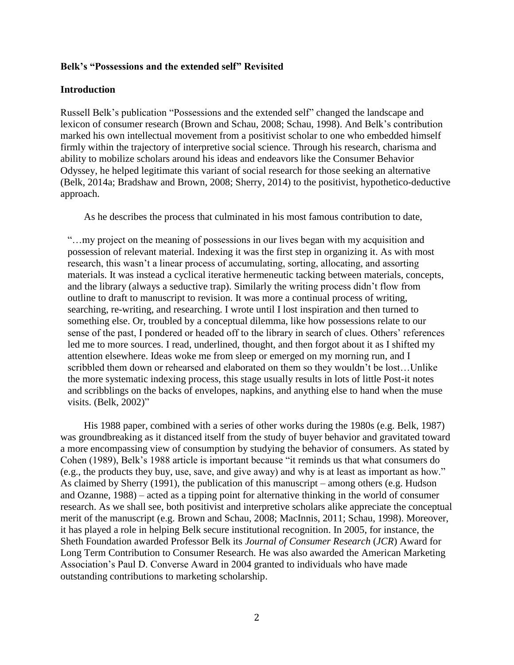#### **Belk's "Possessions and the extended self" Revisited**

#### **Introduction**

Russell Belk's publication "Possessions and the extended self" changed the landscape and lexicon of consumer research (Brown and Schau, 2008; Schau, 1998). And Belk's contribution marked his own intellectual movement from a positivist scholar to one who embedded himself firmly within the trajectory of interpretive social science. Through his research, charisma and ability to mobilize scholars around his ideas and endeavors like the Consumer Behavior Odyssey, he helped legitimate this variant of social research for those seeking an alternative (Belk, 2014a; Bradshaw and Brown, 2008; Sherry, 2014) to the positivist, hypothetico-deductive approach.

As he describes the process that culminated in his most famous contribution to date,

"…my project on the meaning of possessions in our lives began with my acquisition and possession of relevant material. Indexing it was the first step in organizing it. As with most research, this wasn't a linear process of accumulating, sorting, allocating, and assorting materials. It was instead a cyclical iterative hermeneutic tacking between materials, concepts, and the library (always a seductive trap). Similarly the writing process didn't flow from outline to draft to manuscript to revision. It was more a continual process of writing, searching, re-writing, and researching. I wrote until I lost inspiration and then turned to something else. Or, troubled by a conceptual dilemma, like how possessions relate to our sense of the past, I pondered or headed off to the library in search of clues. Others' references led me to more sources. I read, underlined, thought, and then forgot about it as I shifted my attention elsewhere. Ideas woke me from sleep or emerged on my morning run, and I scribbled them down or rehearsed and elaborated on them so they wouldn't be lost…Unlike the more systematic indexing process, this stage usually results in lots of little Post-it notes and scribblings on the backs of envelopes, napkins, and anything else to hand when the muse visits. (Belk, 2002)"

His 1988 paper, combined with a series of other works during the 1980s (e.g. Belk, 1987) was groundbreaking as it distanced itself from the study of buyer behavior and gravitated toward a more encompassing view of consumption by studying the behavior of consumers. As stated by Cohen (1989), Belk's 1988 article is important because "it reminds us that what consumers do (e.g., the products they buy, use, save, and give away) and why is at least as important as how." As claimed by Sherry (1991), the publication of this manuscript – among others (e.g. Hudson and Ozanne, 1988) – acted as a tipping point for alternative thinking in the world of consumer research. As we shall see, both positivist and interpretive scholars alike appreciate the conceptual merit of the manuscript (e.g. Brown and Schau, 2008; MacInnis, 2011; Schau, 1998). Moreover, it has played a role in helping Belk secure institutional recognition. In 2005, for instance, the Sheth Foundation awarded Professor Belk its *Journal of Consumer Research* (*JCR*) Award for Long Term Contribution to Consumer Research. He was also awarded the American Marketing Association's Paul D. Converse Award in 2004 granted to individuals who have made outstanding contributions to marketing scholarship.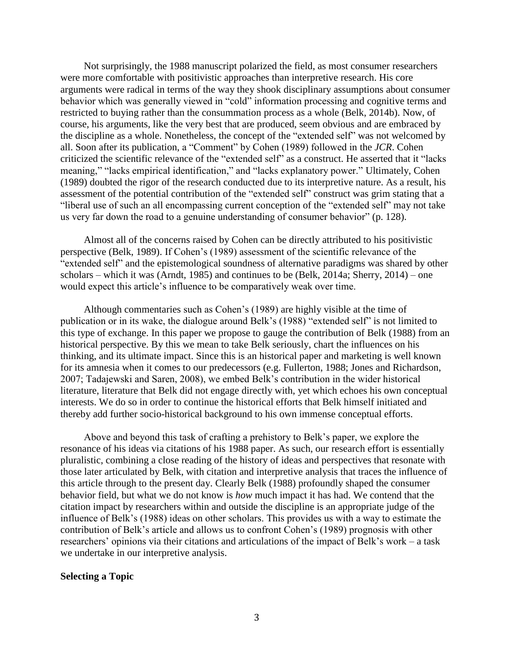Not surprisingly, the 1988 manuscript polarized the field, as most consumer researchers were more comfortable with positivistic approaches than interpretive research. His core arguments were radical in terms of the way they shook disciplinary assumptions about consumer behavior which was generally viewed in "cold" information processing and cognitive terms and restricted to buying rather than the consummation process as a whole (Belk, 2014b). Now, of course, his arguments, like the very best that are produced, seem obvious and are embraced by the discipline as a whole. Nonetheless, the concept of the "extended self" was not welcomed by all. Soon after its publication, a "Comment" by Cohen (1989) followed in the *JCR*. Cohen criticized the scientific relevance of the "extended self" as a construct. He asserted that it "lacks meaning," "lacks empirical identification," and "lacks explanatory power." Ultimately, Cohen (1989) doubted the rigor of the research conducted due to its interpretive nature. As a result, his assessment of the potential contribution of the "extended self" construct was grim stating that a "liberal use of such an all encompassing current conception of the "extended self" may not take us very far down the road to a genuine understanding of consumer behavior" (p. 128).

Almost all of the concerns raised by Cohen can be directly attributed to his positivistic perspective (Belk, 1989). If Cohen's (1989) assessment of the scientific relevance of the "extended self" and the epistemological soundness of alternative paradigms was shared by other scholars – which it was (Arndt, 1985) and continues to be (Belk, 2014a; Sherry, 2014) – one would expect this article's influence to be comparatively weak over time.

Although commentaries such as Cohen's (1989) are highly visible at the time of publication or in its wake, the dialogue around Belk's (1988) "extended self" is not limited to this type of exchange. In this paper we propose to gauge the contribution of Belk (1988) from an historical perspective. By this we mean to take Belk seriously, chart the influences on his thinking, and its ultimate impact. Since this is an historical paper and marketing is well known for its amnesia when it comes to our predecessors (e.g. Fullerton, 1988; Jones and Richardson, 2007; Tadajewski and Saren, 2008), we embed Belk's contribution in the wider historical literature, literature that Belk did not engage directly with, yet which echoes his own conceptual interests. We do so in order to continue the historical efforts that Belk himself initiated and thereby add further socio-historical background to his own immense conceptual efforts.

Above and beyond this task of crafting a prehistory to Belk's paper, we explore the resonance of his ideas via citations of his 1988 paper. As such, our research effort is essentially pluralistic, combining a close reading of the history of ideas and perspectives that resonate with those later articulated by Belk, with citation and interpretive analysis that traces the influence of this article through to the present day. Clearly Belk (1988) profoundly shaped the consumer behavior field, but what we do not know is *how* much impact it has had. We contend that the citation impact by researchers within and outside the discipline is an appropriate judge of the influence of Belk's (1988) ideas on other scholars. This provides us with a way to estimate the contribution of Belk's article and allows us to confront Cohen's (1989) prognosis with other researchers' opinions via their citations and articulations of the impact of Belk's work – a task we undertake in our interpretive analysis.

#### **Selecting a Topic**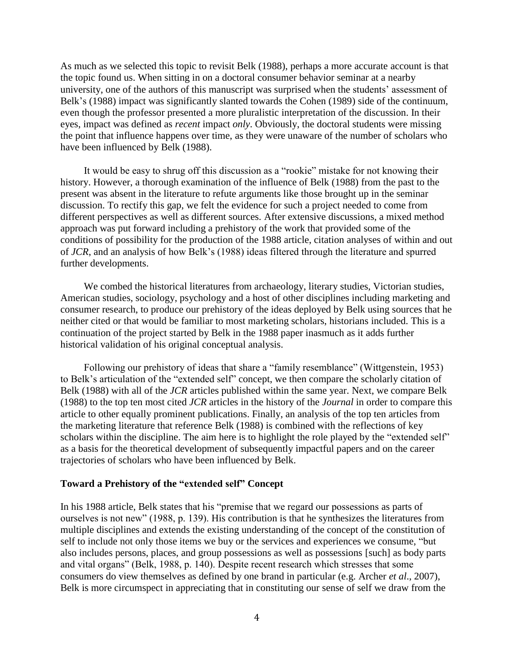As much as we selected this topic to revisit Belk (1988), perhaps a more accurate account is that the topic found us. When sitting in on a doctoral consumer behavior seminar at a nearby university, one of the authors of this manuscript was surprised when the students' assessment of Belk's (1988) impact was significantly slanted towards the Cohen (1989) side of the continuum, even though the professor presented a more pluralistic interpretation of the discussion. In their eyes, impact was defined as *recent* impact *only*. Obviously, the doctoral students were missing the point that influence happens over time, as they were unaware of the number of scholars who have been influenced by Belk (1988).

It would be easy to shrug off this discussion as a "rookie" mistake for not knowing their history. However, a thorough examination of the influence of Belk (1988) from the past to the present was absent in the literature to refute arguments like those brought up in the seminar discussion. To rectify this gap, we felt the evidence for such a project needed to come from different perspectives as well as different sources. After extensive discussions, a mixed method approach was put forward including a prehistory of the work that provided some of the conditions of possibility for the production of the 1988 article, citation analyses of within and out of *JCR*, and an analysis of how Belk's (1988) ideas filtered through the literature and spurred further developments.

We combed the historical literatures from archaeology, literary studies, Victorian studies, American studies, sociology, psychology and a host of other disciplines including marketing and consumer research, to produce our prehistory of the ideas deployed by Belk using sources that he neither cited or that would be familiar to most marketing scholars, historians included. This is a continuation of the project started by Belk in the 1988 paper inasmuch as it adds further historical validation of his original conceptual analysis.

Following our prehistory of ideas that share a "family resemblance" (Wittgenstein, 1953) to Belk's articulation of the "extended self" concept, we then compare the scholarly citation of Belk (1988) with all of the *JCR* articles published within the same year. Next, we compare Belk (1988) to the top ten most cited *JCR* articles in the history of the *Journal* in order to compare this article to other equally prominent publications. Finally, an analysis of the top ten articles from the marketing literature that reference Belk (1988) is combined with the reflections of key scholars within the discipline. The aim here is to highlight the role played by the "extended self" as a basis for the theoretical development of subsequently impactful papers and on the career trajectories of scholars who have been influenced by Belk.

#### **Toward a Prehistory of the "extended self" Concept**

In his 1988 article, Belk states that his "premise that we regard our possessions as parts of ourselves is not new" (1988, p. 139). His contribution is that he synthesizes the literatures from multiple disciplines and extends the existing understanding of the concept of the constitution of self to include not only those items we buy or the services and experiences we consume, "but also includes persons, places, and group possessions as well as possessions [such] as body parts and vital organs" (Belk, 1988, p. 140). Despite recent research which stresses that some consumers do view themselves as defined by one brand in particular (e.g. Archer *et al*., 2007), Belk is more circumspect in appreciating that in constituting our sense of self we draw from the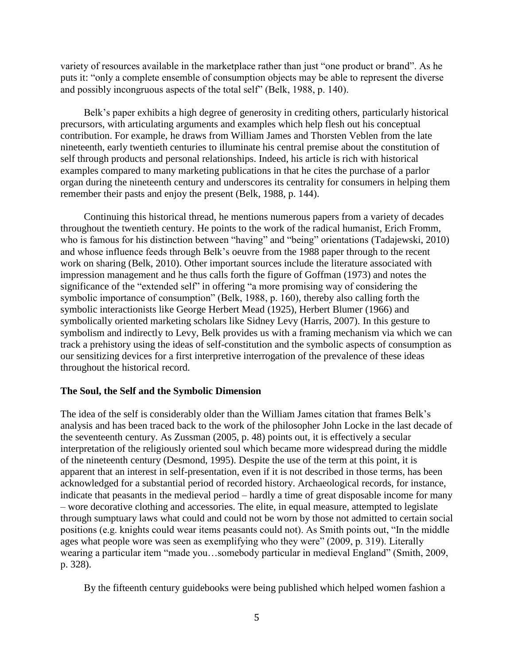variety of resources available in the marketplace rather than just "one product or brand". As he puts it: "only a complete ensemble of consumption objects may be able to represent the diverse and possibly incongruous aspects of the total self" (Belk, 1988, p. 140).

Belk's paper exhibits a high degree of generosity in crediting others, particularly historical precursors, with articulating arguments and examples which help flesh out his conceptual contribution. For example, he draws from William James and Thorsten Veblen from the late nineteenth, early twentieth centuries to illuminate his central premise about the constitution of self through products and personal relationships. Indeed, his article is rich with historical examples compared to many marketing publications in that he cites the purchase of a parlor organ during the nineteenth century and underscores its centrality for consumers in helping them remember their pasts and enjoy the present (Belk, 1988, p. 144).

Continuing this historical thread, he mentions numerous papers from a variety of decades throughout the twentieth century. He points to the work of the radical humanist, Erich Fromm, who is famous for his distinction between "having" and "being" orientations (Tadajewski, 2010) and whose influence feeds through Belk's oeuvre from the 1988 paper through to the recent work on sharing (Belk, 2010). Other important sources include the literature associated with impression management and he thus calls forth the figure of Goffman (1973) and notes the significance of the "extended self" in offering "a more promising way of considering the symbolic importance of consumption" (Belk, 1988, p. 160), thereby also calling forth the symbolic interactionists like George Herbert Mead (1925), Herbert Blumer (1966) and symbolically oriented marketing scholars like Sidney Levy (Harris, 2007). In this gesture to symbolism and indirectly to Levy, Belk provides us with a framing mechanism via which we can track a prehistory using the ideas of self-constitution and the symbolic aspects of consumption as our sensitizing devices for a first interpretive interrogation of the prevalence of these ideas throughout the historical record.

#### **The Soul, the Self and the Symbolic Dimension**

The idea of the self is considerably older than the William James citation that frames Belk's analysis and has been traced back to the work of the philosopher John Locke in the last decade of the seventeenth century. As Zussman (2005, p. 48) points out, it is effectively a secular interpretation of the religiously oriented soul which became more widespread during the middle of the nineteenth century (Desmond, 1995). Despite the use of the term at this point, it is apparent that an interest in self-presentation, even if it is not described in those terms, has been acknowledged for a substantial period of recorded history. Archaeological records, for instance, indicate that peasants in the medieval period – hardly a time of great disposable income for many – wore decorative clothing and accessories. The elite, in equal measure, attempted to legislate through sumptuary laws what could and could not be worn by those not admitted to certain social positions (e.g. knights could wear items peasants could not). As Smith points out, "In the middle ages what people wore was seen as exemplifying who they were" (2009, p. 319). Literally wearing a particular item "made you…somebody particular in medieval England" (Smith, 2009, p. 328).

By the fifteenth century guidebooks were being published which helped women fashion a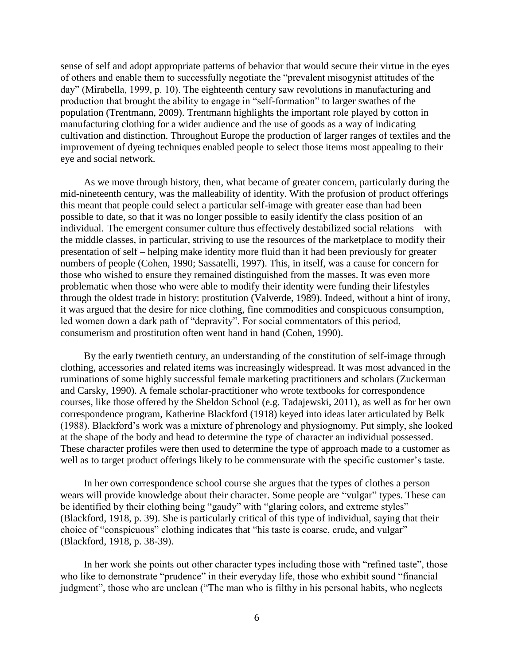sense of self and adopt appropriate patterns of behavior that would secure their virtue in the eyes of others and enable them to successfully negotiate the "prevalent misogynist attitudes of the day" (Mirabella, 1999, p. 10). The eighteenth century saw revolutions in manufacturing and production that brought the ability to engage in "self-formation" to larger swathes of the population (Trentmann, 2009). Trentmann highlights the important role played by cotton in manufacturing clothing for a wider audience and the use of goods as a way of indicating cultivation and distinction. Throughout Europe the production of larger ranges of textiles and the improvement of dyeing techniques enabled people to select those items most appealing to their eye and social network.

As we move through history, then, what became of greater concern, particularly during the mid-nineteenth century, was the malleability of identity. With the profusion of product offerings this meant that people could select a particular self-image with greater ease than had been possible to date, so that it was no longer possible to easily identify the class position of an individual. The emergent consumer culture thus effectively destabilized social relations – with the middle classes, in particular, striving to use the resources of the marketplace to modify their presentation of self – helping make identity more fluid than it had been previously for greater numbers of people (Cohen, 1990; Sassatelli, 1997). This, in itself, was a cause for concern for those who wished to ensure they remained distinguished from the masses. It was even more problematic when those who were able to modify their identity were funding their lifestyles through the oldest trade in history: prostitution (Valverde, 1989). Indeed, without a hint of irony, it was argued that the desire for nice clothing, fine commodities and conspicuous consumption, led women down a dark path of "depravity". For social commentators of this period, consumerism and prostitution often went hand in hand (Cohen, 1990).

By the early twentieth century, an understanding of the constitution of self-image through clothing, accessories and related items was increasingly widespread. It was most advanced in the ruminations of some highly successful female marketing practitioners and scholars (Zuckerman and Carsky, 1990). A female scholar-practitioner who wrote textbooks for correspondence courses, like those offered by the Sheldon School (e.g. Tadajewski, 2011), as well as for her own correspondence program, Katherine Blackford (1918) keyed into ideas later articulated by Belk (1988). Blackford's work was a mixture of phrenology and physiognomy. Put simply, she looked at the shape of the body and head to determine the type of character an individual possessed. These character profiles were then used to determine the type of approach made to a customer as well as to target product offerings likely to be commensurate with the specific customer's taste.

In her own correspondence school course she argues that the types of clothes a person wears will provide knowledge about their character. Some people are "vulgar" types. These can be identified by their clothing being "gaudy" with "glaring colors, and extreme styles" (Blackford, 1918, p. 39). She is particularly critical of this type of individual, saying that their choice of "conspicuous" clothing indicates that "his taste is coarse, crude, and vulgar" (Blackford, 1918, p. 38-39).

In her work she points out other character types including those with "refined taste", those who like to demonstrate "prudence" in their everyday life, those who exhibit sound "financial judgment", those who are unclean ("The man who is filthy in his personal habits, who neglects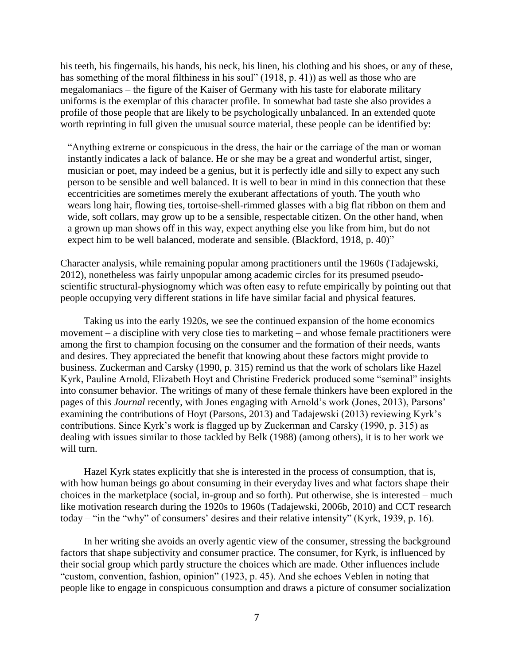his teeth, his fingernails, his hands, his neck, his linen, his clothing and his shoes, or any of these, has something of the moral filthiness in his soul" (1918, p. 41)) as well as those who are megalomaniacs – the figure of the Kaiser of Germany with his taste for elaborate military uniforms is the exemplar of this character profile. In somewhat bad taste she also provides a profile of those people that are likely to be psychologically unbalanced. In an extended quote worth reprinting in full given the unusual source material, these people can be identified by:

"Anything extreme or conspicuous in the dress, the hair or the carriage of the man or woman instantly indicates a lack of balance. He or she may be a great and wonderful artist, singer, musician or poet, may indeed be a genius, but it is perfectly idle and silly to expect any such person to be sensible and well balanced. It is well to bear in mind in this connection that these eccentricities are sometimes merely the exuberant affectations of youth. The youth who wears long hair, flowing ties, tortoise-shell-rimmed glasses with a big flat ribbon on them and wide, soft collars, may grow up to be a sensible, respectable citizen. On the other hand, when a grown up man shows off in this way, expect anything else you like from him, but do not expect him to be well balanced, moderate and sensible. (Blackford, 1918, p. 40)"

Character analysis, while remaining popular among practitioners until the 1960s (Tadajewski, 2012), nonetheless was fairly unpopular among academic circles for its presumed pseudoscientific structural-physiognomy which was often easy to refute empirically by pointing out that people occupying very different stations in life have similar facial and physical features.

Taking us into the early 1920s, we see the continued expansion of the home economics movement – a discipline with very close ties to marketing – and whose female practitioners were among the first to champion focusing on the consumer and the formation of their needs, wants and desires. They appreciated the benefit that knowing about these factors might provide to business. Zuckerman and Carsky (1990, p. 315) remind us that the work of scholars like Hazel Kyrk, Pauline Arnold, Elizabeth Hoyt and Christine Frederick produced some "seminal" insights into consumer behavior. The writings of many of these female thinkers have been explored in the pages of this *Journal* recently, with Jones engaging with Arnold's work (Jones, 2013), Parsons' examining the contributions of Hoyt (Parsons, 2013) and Tadajewski (2013) reviewing Kyrk's contributions. Since Kyrk's work is flagged up by Zuckerman and Carsky (1990, p. 315) as dealing with issues similar to those tackled by Belk (1988) (among others), it is to her work we will turn.

Hazel Kyrk states explicitly that she is interested in the process of consumption, that is, with how human beings go about consuming in their everyday lives and what factors shape their choices in the marketplace (social, in-group and so forth). Put otherwise, she is interested – much like motivation research during the 1920s to 1960s (Tadajewski, 2006b, 2010) and CCT research today – "in the "why" of consumers' desires and their relative intensity" (Kyrk, 1939, p. 16).

In her writing she avoids an overly agentic view of the consumer, stressing the background factors that shape subjectivity and consumer practice. The consumer, for Kyrk, is influenced by their social group which partly structure the choices which are made. Other influences include "custom, convention, fashion, opinion" (1923, p. 45). And she echoes Veblen in noting that people like to engage in conspicuous consumption and draws a picture of consumer socialization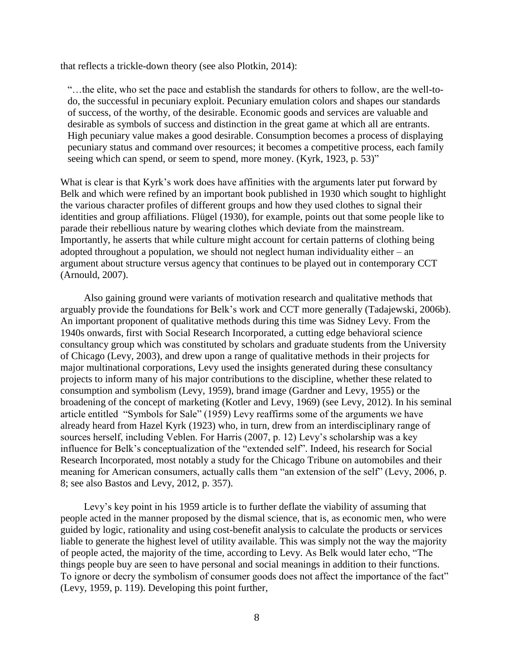that reflects a trickle-down theory (see also Plotkin, 2014):

"…the elite, who set the pace and establish the standards for others to follow, are the well-todo, the successful in pecuniary exploit. Pecuniary emulation colors and shapes our standards of success, of the worthy, of the desirable. Economic goods and services are valuable and desirable as symbols of success and distinction in the great game at which all are entrants. High pecuniary value makes a good desirable. Consumption becomes a process of displaying pecuniary status and command over resources; it becomes a competitive process, each family seeing which can spend, or seem to spend, more money. (Kyrk, 1923, p. 53)"

What is clear is that Kyrk's work does have affinities with the arguments later put forward by Belk and which were refined by an important book published in 1930 which sought to highlight the various character profiles of different groups and how they used clothes to signal their identities and group affiliations. Flügel (1930), for example, points out that some people like to parade their rebellious nature by wearing clothes which deviate from the mainstream. Importantly, he asserts that while culture might account for certain patterns of clothing being adopted throughout a population, we should not neglect human individuality either – an argument about structure versus agency that continues to be played out in contemporary CCT (Arnould, 2007).

Also gaining ground were variants of motivation research and qualitative methods that arguably provide the foundations for Belk's work and CCT more generally (Tadajewski, 2006b). An important proponent of qualitative methods during this time was Sidney Levy. From the 1940s onwards, first with Social Research Incorporated, a cutting edge behavioral science consultancy group which was constituted by scholars and graduate students from the University of Chicago (Levy, 2003), and drew upon a range of qualitative methods in their projects for major multinational corporations, Levy used the insights generated during these consultancy projects to inform many of his major contributions to the discipline, whether these related to consumption and symbolism (Levy, 1959), brand image (Gardner and Levy, 1955) or the broadening of the concept of marketing (Kotler and Levy, 1969) (see Levy, 2012). In his seminal article entitled "Symbols for Sale" (1959) Levy reaffirms some of the arguments we have already heard from Hazel Kyrk (1923) who, in turn, drew from an interdisciplinary range of sources herself, including Veblen. For Harris (2007, p. 12) Levy's scholarship was a key influence for Belk's conceptualization of the "extended self". Indeed, his research for Social Research Incorporated, most notably a study for the Chicago Tribune on automobiles and their meaning for American consumers, actually calls them "an extension of the self" (Levy, 2006, p. 8; see also Bastos and Levy, 2012, p. 357).

Levy's key point in his 1959 article is to further deflate the viability of assuming that people acted in the manner proposed by the dismal science, that is, as economic men, who were guided by logic, rationality and using cost-benefit analysis to calculate the products or services liable to generate the highest level of utility available. This was simply not the way the majority of people acted, the majority of the time, according to Levy. As Belk would later echo, "The things people buy are seen to have personal and social meanings in addition to their functions. To ignore or decry the symbolism of consumer goods does not affect the importance of the fact" (Levy, 1959, p. 119). Developing this point further,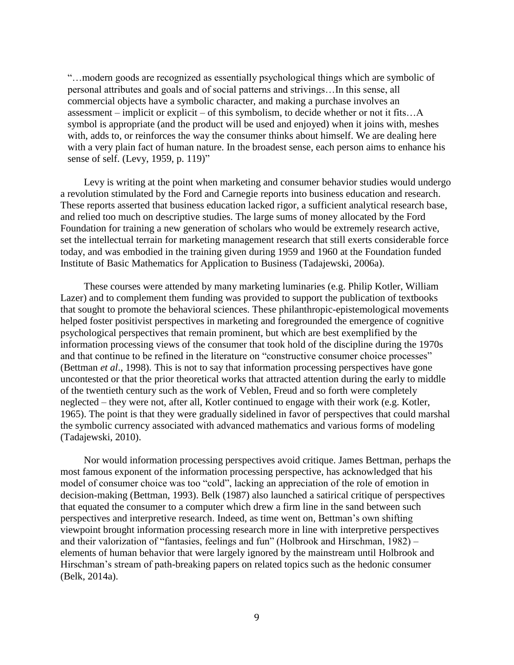"…modern goods are recognized as essentially psychological things which are symbolic of personal attributes and goals and of social patterns and strivings…In this sense, all commercial objects have a symbolic character, and making a purchase involves an assessment – implicit or explicit – of this symbolism, to decide whether or not it fits…A symbol is appropriate (and the product will be used and enjoyed) when it joins with, meshes with, adds to, or reinforces the way the consumer thinks about himself. We are dealing here with a very plain fact of human nature. In the broadest sense, each person aims to enhance his sense of self. (Levy, 1959, p. 119)"

Levy is writing at the point when marketing and consumer behavior studies would undergo a revolution stimulated by the Ford and Carnegie reports into business education and research. These reports asserted that business education lacked rigor, a sufficient analytical research base, and relied too much on descriptive studies. The large sums of money allocated by the Ford Foundation for training a new generation of scholars who would be extremely research active, set the intellectual terrain for marketing management research that still exerts considerable force today, and was embodied in the training given during 1959 and 1960 at the Foundation funded Institute of Basic Mathematics for Application to Business (Tadajewski, 2006a).

These courses were attended by many marketing luminaries (e.g. Philip Kotler, William Lazer) and to complement them funding was provided to support the publication of textbooks that sought to promote the behavioral sciences. These philanthropic-epistemological movements helped foster positivist perspectives in marketing and foregrounded the emergence of cognitive psychological perspectives that remain prominent, but which are best exemplified by the information processing views of the consumer that took hold of the discipline during the 1970s and that continue to be refined in the literature on "constructive consumer choice processes" (Bettman *et al*., 1998). This is not to say that information processing perspectives have gone uncontested or that the prior theoretical works that attracted attention during the early to middle of the twentieth century such as the work of Veblen, Freud and so forth were completely neglected – they were not, after all, Kotler continued to engage with their work (e.g. Kotler, 1965). The point is that they were gradually sidelined in favor of perspectives that could marshal the symbolic currency associated with advanced mathematics and various forms of modeling (Tadajewski, 2010).

Nor would information processing perspectives avoid critique. James Bettman, perhaps the most famous exponent of the information processing perspective, has acknowledged that his model of consumer choice was too "cold", lacking an appreciation of the role of emotion in decision-making (Bettman, 1993). Belk (1987) also launched a satirical critique of perspectives that equated the consumer to a computer which drew a firm line in the sand between such perspectives and interpretive research. Indeed, as time went on, Bettman's own shifting viewpoint brought information processing research more in line with interpretive perspectives and their valorization of "fantasies, feelings and fun" (Holbrook and Hirschman, 1982) – elements of human behavior that were largely ignored by the mainstream until Holbrook and Hirschman's stream of path-breaking papers on related topics such as the hedonic consumer (Belk, 2014a).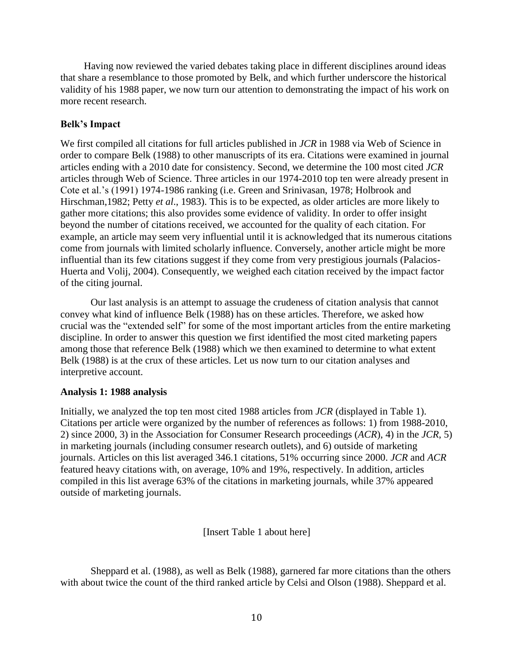Having now reviewed the varied debates taking place in different disciplines around ideas that share a resemblance to those promoted by Belk, and which further underscore the historical validity of his 1988 paper, we now turn our attention to demonstrating the impact of his work on more recent research.

### **Belk's Impact**

We first compiled all citations for full articles published in *JCR* in 1988 via Web of Science in order to compare Belk (1988) to other manuscripts of its era. Citations were examined in journal articles ending with a 2010 date for consistency. Second, we determine the 100 most cited *JCR*  articles through Web of Science. Three articles in our 1974-2010 top ten were already present in Cote et al.'s (1991) 1974-1986 ranking (i.e. Green and Srinivasan, 1978; Holbrook and Hirschman,1982; Petty *et al*., 1983). This is to be expected, as older articles are more likely to gather more citations; this also provides some evidence of validity. In order to offer insight beyond the number of citations received, we accounted for the quality of each citation. For example, an article may seem very influential until it is acknowledged that its numerous citations come from journals with limited scholarly influence. Conversely, another article might be more influential than its few citations suggest if they come from very prestigious journals (Palacios-Huerta and Volij, 2004). Consequently, we weighed each citation received by the impact factor of the citing journal.

Our last analysis is an attempt to assuage the crudeness of citation analysis that cannot convey what kind of influence Belk (1988) has on these articles. Therefore, we asked how crucial was the "extended self" for some of the most important articles from the entire marketing discipline. In order to answer this question we first identified the most cited marketing papers among those that reference Belk (1988) which we then examined to determine to what extent Belk (1988) is at the crux of these articles. Let us now turn to our citation analyses and interpretive account.

### **Analysis 1: 1988 analysis**

Initially, we analyzed the top ten most cited 1988 articles from *JCR* (displayed in Table 1). Citations per article were organized by the number of references as follows: 1) from 1988-2010, 2) since 2000, 3) in the Association for Consumer Research proceedings (*ACR*), 4) in the *JCR*, 5) in marketing journals (including consumer research outlets), and 6) outside of marketing journals. Articles on this list averaged 346.1 citations, 51% occurring since 2000. *JCR* and *ACR* featured heavy citations with, on average, 10% and 19%, respectively. In addition, articles compiled in this list average 63% of the citations in marketing journals, while 37% appeared outside of marketing journals.

[Insert Table 1 about here]

Sheppard et al. (1988), as well as Belk (1988), garnered far more citations than the others with about twice the count of the third ranked article by Celsi and Olson (1988). Sheppard et al.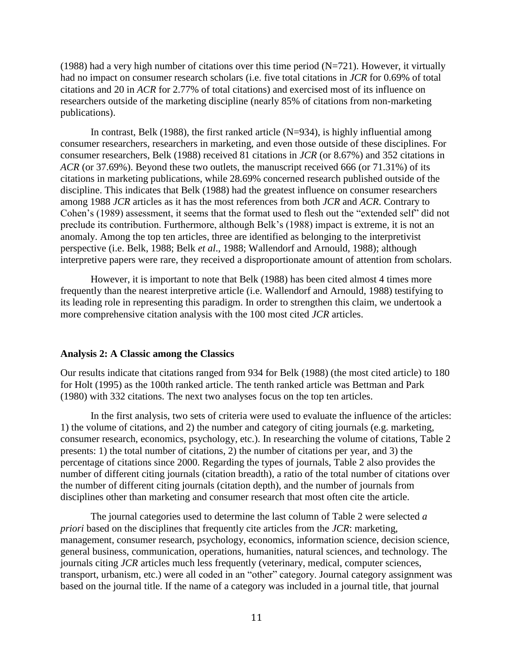(1988) had a very high number of citations over this time period ( $N=721$ ). However, it virtually had no impact on consumer research scholars (i.e. five total citations in *JCR* for 0.69% of total citations and 20 in *ACR* for 2.77% of total citations) and exercised most of its influence on researchers outside of the marketing discipline (nearly 85% of citations from non-marketing publications).

In contrast, Belk (1988), the first ranked article  $(N=934)$ , is highly influential among consumer researchers, researchers in marketing, and even those outside of these disciplines. For consumer researchers, Belk (1988) received 81 citations in *JCR* (or 8.67%) and 352 citations in *ACR* (or 37.69%). Beyond these two outlets, the manuscript received 666 (or 71.31%) of its citations in marketing publications, while 28.69% concerned research published outside of the discipline. This indicates that Belk (1988) had the greatest influence on consumer researchers among 1988 *JCR* articles as it has the most references from both *JCR* and *ACR*. Contrary to Cohen's (1989) assessment, it seems that the format used to flesh out the "extended self" did not preclude its contribution. Furthermore, although Belk's (1988) impact is extreme, it is not an anomaly. Among the top ten articles, three are identified as belonging to the interpretivist perspective (i.e. Belk, 1988; Belk *et al*., 1988; Wallendorf and Arnould, 1988); although interpretive papers were rare, they received a disproportionate amount of attention from scholars.

However, it is important to note that Belk (1988) has been cited almost 4 times more frequently than the nearest interpretive article (i.e. Wallendorf and Arnould, 1988) testifying to its leading role in representing this paradigm. In order to strengthen this claim, we undertook a more comprehensive citation analysis with the 100 most cited *JCR* articles.

#### **Analysis 2: A Classic among the Classics**

Our results indicate that citations ranged from 934 for Belk (1988) (the most cited article) to 180 for Holt (1995) as the 100th ranked article. The tenth ranked article was Bettman and Park (1980) with 332 citations. The next two analyses focus on the top ten articles.

In the first analysis, two sets of criteria were used to evaluate the influence of the articles: 1) the volume of citations, and 2) the number and category of citing journals (e.g. marketing, consumer research, economics, psychology, etc.). In researching the volume of citations, Table 2 presents: 1) the total number of citations, 2) the number of citations per year, and 3) the percentage of citations since 2000. Regarding the types of journals, Table 2 also provides the number of different citing journals (citation breadth), a ratio of the total number of citations over the number of different citing journals (citation depth), and the number of journals from disciplines other than marketing and consumer research that most often cite the article.

The journal categories used to determine the last column of Table 2 were selected *a priori* based on the disciplines that frequently cite articles from the *JCR*: marketing, management, consumer research, psychology, economics, information science, decision science, general business, communication, operations, humanities, natural sciences, and technology. The journals citing *JCR* articles much less frequently (veterinary, medical, computer sciences, transport, urbanism, etc.) were all coded in an "other" category. Journal category assignment was based on the journal title. If the name of a category was included in a journal title, that journal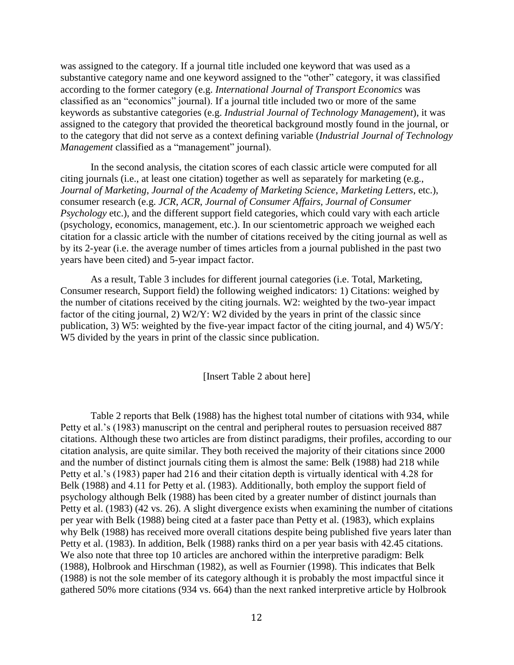was assigned to the category. If a journal title included one keyword that was used as a substantive category name and one keyword assigned to the "other" category, it was classified according to the former category (e.g. *International Journal of Transport Economics* was classified as an "economics" journal). If a journal title included two or more of the same keywords as substantive categories (e.g. *Industrial Journal of Technology Management*), it was assigned to the category that provided the theoretical background mostly found in the journal, or to the category that did not serve as a context defining variable (*Industrial Journal of Technology Management* classified as a "management" journal).

In the second analysis, the citation scores of each classic article were computed for all citing journals (i.e., at least one citation) together as well as separately for marketing (e.g., *Journal of Marketing*, *Journal of the Academy of Marketing Science*, *Marketing Letters*, etc.), consumer research (e.g. *JCR*, *ACR*, *Journal of Consumer Affairs, Journal of Consumer Psychology* etc.), and the different support field categories, which could vary with each article (psychology, economics, management, etc.). In our scientometric approach we weighed each citation for a classic article with the number of citations received by the citing journal as well as by its 2-year (i.e. the average number of times articles from a journal published in the past two years have been cited) and 5-year impact factor.

As a result, Table 3 includes for different journal categories (i.e. Total, Marketing, Consumer research, Support field) the following weighed indicators: 1) Citations: weighed by the number of citations received by the citing journals. W2: weighted by the two-year impact factor of the citing journal, 2) W2/Y: W2 divided by the years in print of the classic since publication, 3) W5: weighted by the five-year impact factor of the citing journal, and 4) W5/Y: W5 divided by the years in print of the classic since publication.

#### [Insert Table 2 about here]

Table 2 reports that Belk (1988) has the highest total number of citations with 934, while Petty et al.'s (1983) manuscript on the central and peripheral routes to persuasion received 887 citations. Although these two articles are from distinct paradigms, their profiles, according to our citation analysis, are quite similar. They both received the majority of their citations since 2000 and the number of distinct journals citing them is almost the same: Belk (1988) had 218 while Petty et al.'s (1983) paper had 216 and their citation depth is virtually identical with 4.28 for Belk (1988) and 4.11 for Petty et al. (1983). Additionally, both employ the support field of psychology although Belk (1988) has been cited by a greater number of distinct journals than Petty et al. (1983) (42 vs. 26). A slight divergence exists when examining the number of citations per year with Belk (1988) being cited at a faster pace than Petty et al. (1983), which explains why Belk (1988) has received more overall citations despite being published five years later than Petty et al. (1983). In addition, Belk (1988) ranks third on a per year basis with 42.45 citations. We also note that three top 10 articles are anchored within the interpretive paradigm: Belk (1988), Holbrook and Hirschman (1982), as well as Fournier (1998). This indicates that Belk (1988) is not the sole member of its category although it is probably the most impactful since it gathered 50% more citations (934 vs. 664) than the next ranked interpretive article by Holbrook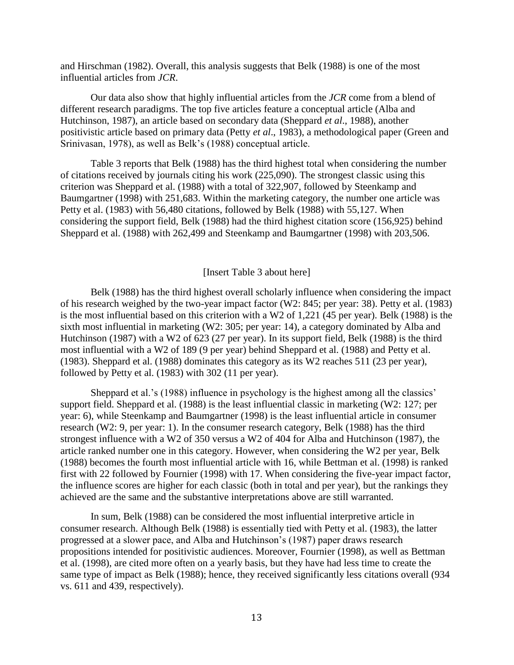and Hirschman (1982). Overall, this analysis suggests that Belk (1988) is one of the most influential articles from *JCR*.

Our data also show that highly influential articles from the *JCR* come from a blend of different research paradigms. The top five articles feature a conceptual article (Alba and Hutchinson, 1987), an article based on secondary data (Sheppard *et al*., 1988), another positivistic article based on primary data (Petty *et al*., 1983), a methodological paper (Green and Srinivasan, 1978), as well as Belk's (1988) conceptual article.

Table 3 reports that Belk (1988) has the third highest total when considering the number of citations received by journals citing his work (225,090). The strongest classic using this criterion was Sheppard et al. (1988) with a total of 322,907, followed by Steenkamp and Baumgartner (1998) with 251,683. Within the marketing category, the number one article was Petty et al. (1983) with 56,480 citations, followed by Belk (1988) with 55,127. When considering the support field, Belk (1988) had the third highest citation score (156,925) behind Sheppard et al. (1988) with 262,499 and Steenkamp and Baumgartner (1998) with 203,506.

#### [Insert Table 3 about here]

Belk (1988) has the third highest overall scholarly influence when considering the impact of his research weighed by the two-year impact factor (W2: 845; per year: 38). Petty et al. (1983) is the most influential based on this criterion with a W2 of 1,221 (45 per year). Belk (1988) is the sixth most influential in marketing (W2: 305; per year: 14), a category dominated by Alba and Hutchinson (1987) with a W2 of 623 (27 per year). In its support field, Belk (1988) is the third most influential with a W2 of 189 (9 per year) behind Sheppard et al. (1988) and Petty et al. (1983). Sheppard et al. (1988) dominates this category as its W2 reaches 511 (23 per year), followed by Petty et al. (1983) with 302 (11 per year).

Sheppard et al.'s (1988) influence in psychology is the highest among all the classics' support field. Sheppard et al. (1988) is the least influential classic in marketing (W2: 127; per year: 6), while Steenkamp and Baumgartner (1998) is the least influential article in consumer research (W2: 9, per year: 1). In the consumer research category, Belk (1988) has the third strongest influence with a W2 of 350 versus a W2 of 404 for Alba and Hutchinson (1987), the article ranked number one in this category. However, when considering the W2 per year, Belk (1988) becomes the fourth most influential article with 16, while Bettman et al. (1998) is ranked first with 22 followed by Fournier (1998) with 17. When considering the five-year impact factor, the influence scores are higher for each classic (both in total and per year), but the rankings they achieved are the same and the substantive interpretations above are still warranted.

In sum, Belk (1988) can be considered the most influential interpretive article in consumer research. Although Belk (1988) is essentially tied with Petty et al. (1983), the latter progressed at a slower pace, and Alba and Hutchinson's (1987) paper draws research propositions intended for positivistic audiences. Moreover, Fournier (1998), as well as Bettman et al. (1998), are cited more often on a yearly basis, but they have had less time to create the same type of impact as Belk (1988); hence, they received significantly less citations overall (934 vs. 611 and 439, respectively).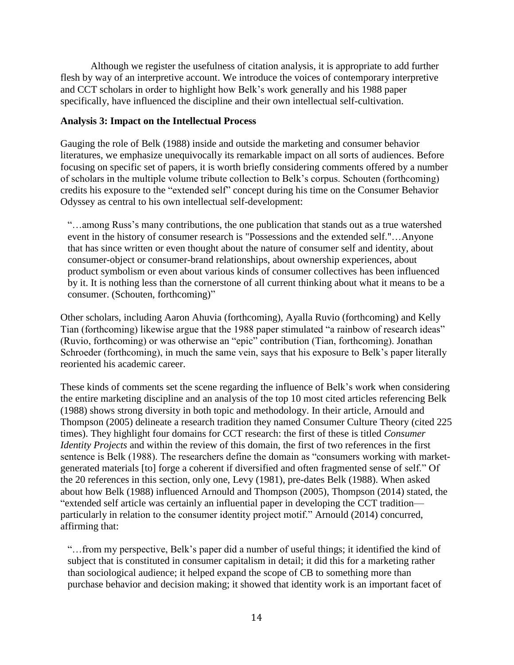Although we register the usefulness of citation analysis, it is appropriate to add further flesh by way of an interpretive account. We introduce the voices of contemporary interpretive and CCT scholars in order to highlight how Belk's work generally and his 1988 paper specifically, have influenced the discipline and their own intellectual self-cultivation.

### **Analysis 3: Impact on the Intellectual Process**

Gauging the role of Belk (1988) inside and outside the marketing and consumer behavior literatures, we emphasize unequivocally its remarkable impact on all sorts of audiences. Before focusing on specific set of papers, it is worth briefly considering comments offered by a number of scholars in the multiple volume tribute collection to Belk's corpus. Schouten (forthcoming) credits his exposure to the "extended self" concept during his time on the Consumer Behavior Odyssey as central to his own intellectual self-development:

"…among Russ's many contributions, the one publication that stands out as a true watershed event in the history of consumer research is "Possessions and the extended self."…Anyone that has since written or even thought about the nature of consumer self and identity, about consumer-object or consumer-brand relationships, about ownership experiences, about product symbolism or even about various kinds of consumer collectives has been influenced by it. It is nothing less than the cornerstone of all current thinking about what it means to be a consumer. (Schouten, forthcoming)"

Other scholars, including Aaron Ahuvia (forthcoming), Ayalla Ruvio (forthcoming) and Kelly Tian (forthcoming) likewise argue that the 1988 paper stimulated "a rainbow of research ideas" (Ruvio, forthcoming) or was otherwise an "epic" contribution (Tian, forthcoming). Jonathan Schroeder (forthcoming), in much the same vein, says that his exposure to Belk's paper literally reoriented his academic career.

These kinds of comments set the scene regarding the influence of Belk's work when considering the entire marketing discipline and an analysis of the top 10 most cited articles referencing Belk (1988) shows strong diversity in both topic and methodology. In their article, Arnould and Thompson (2005) delineate a research tradition they named Consumer Culture Theory (cited 225 times). They highlight four domains for CCT research: the first of these is titled *Consumer Identity Projects* and within the review of this domain, the first of two references in the first sentence is Belk (1988). The researchers define the domain as "consumers working with marketgenerated materials [to] forge a coherent if diversified and often fragmented sense of self." Of the 20 references in this section, only one, Levy (1981), pre-dates Belk (1988). When asked about how Belk (1988) influenced Arnould and Thompson (2005), Thompson (2014) stated, the "extended self article was certainly an influential paper in developing the CCT tradition particularly in relation to the consumer identity project motif." Arnould (2014) concurred, affirming that:

"…from my perspective, Belk's paper did a number of useful things; it identified the kind of subject that is constituted in consumer capitalism in detail; it did this for a marketing rather than sociological audience; it helped expand the scope of CB to something more than purchase behavior and decision making; it showed that identity work is an important facet of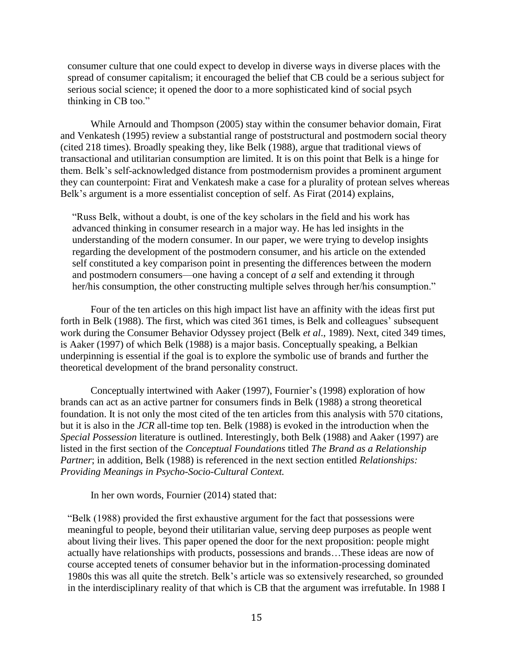consumer culture that one could expect to develop in diverse ways in diverse places with the spread of consumer capitalism; it encouraged the belief that CB could be a serious subject for serious social science; it opened the door to a more sophisticated kind of social psych thinking in CB too."

While Arnould and Thompson (2005) stay within the consumer behavior domain, Firat and Venkatesh (1995) review a substantial range of poststructural and postmodern social theory (cited 218 times). Broadly speaking they, like Belk (1988), argue that traditional views of transactional and utilitarian consumption are limited. It is on this point that Belk is a hinge for them. Belk's self-acknowledged distance from postmodernism provides a prominent argument they can counterpoint: Firat and Venkatesh make a case for a plurality of protean selves whereas Belk's argument is a more essentialist conception of self. As Firat (2014) explains,

"Russ Belk, without a doubt, is one of the key scholars in the field and his work has advanced thinking in consumer research in a major way. He has led insights in the understanding of the modern consumer. In our paper, we were trying to develop insights regarding the development of the postmodern consumer, and his article on the extended self constituted a key comparison point in presenting the differences between the modern and postmodern consumers—one having a concept of *a* self and extending it through her/his consumption, the other constructing multiple selves through her/his consumption."

Four of the ten articles on this high impact list have an affinity with the ideas first put forth in Belk (1988). The first, which was cited 361 times, is Belk and colleagues' subsequent work during the Consumer Behavior Odyssey project (Belk *et al*., 1989). Next, cited 349 times, is Aaker (1997) of which Belk (1988) is a major basis. Conceptually speaking, a Belkian underpinning is essential if the goal is to explore the symbolic use of brands and further the theoretical development of the brand personality construct.

Conceptually intertwined with Aaker (1997), Fournier's (1998) exploration of how brands can act as an active partner for consumers finds in Belk (1988) a strong theoretical foundation. It is not only the most cited of the ten articles from this analysis with 570 citations, but it is also in the *JCR* all-time top ten. Belk (1988) is evoked in the introduction when the *Special Possession* literature is outlined. Interestingly, both Belk (1988) and Aaker (1997) are listed in the first section of the *Conceptual Foundations* titled *The Brand as a Relationship Partner*; in addition, Belk (1988) is referenced in the next section entitled *Relationships: Providing Meanings in Psycho-Socio-Cultural Context.*

In her own words, Fournier (2014) stated that:

"Belk (1988) provided the first exhaustive argument for the fact that possessions were meaningful to people, beyond their utilitarian value, serving deep purposes as people went about living their lives. This paper opened the door for the next proposition: people might actually have relationships with products, possessions and brands…These ideas are now of course accepted tenets of consumer behavior but in the information-processing dominated 1980s this was all quite the stretch. Belk's article was so extensively researched, so grounded in the interdisciplinary reality of that which is CB that the argument was irrefutable. In 1988 I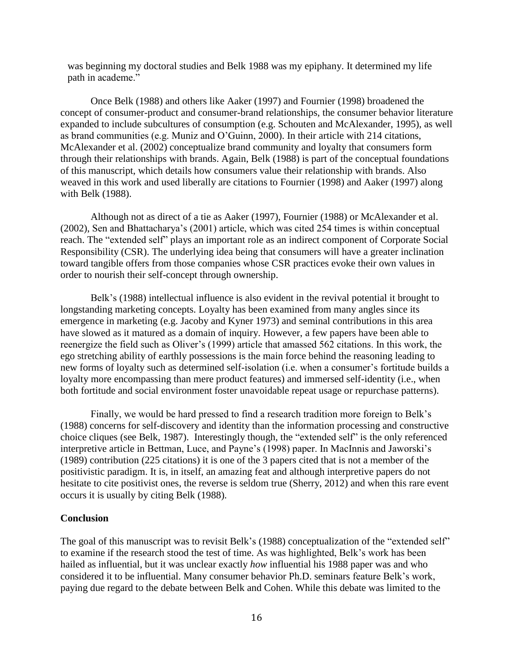was beginning my doctoral studies and Belk 1988 was my epiphany. It determined my life path in academe."

Once Belk (1988) and others like Aaker (1997) and Fournier (1998) broadened the concept of consumer-product and consumer-brand relationships, the consumer behavior literature expanded to include subcultures of consumption (e.g. Schouten and McAlexander, 1995), as well as brand communities (e.g. Muniz and O'Guinn, 2000). In their article with 214 citations, McAlexander et al. (2002) conceptualize brand community and loyalty that consumers form through their relationships with brands. Again, Belk (1988) is part of the conceptual foundations of this manuscript, which details how consumers value their relationship with brands. Also weaved in this work and used liberally are citations to Fournier (1998) and Aaker (1997) along with Belk (1988).

Although not as direct of a tie as Aaker (1997), Fournier (1988) or McAlexander et al. (2002), Sen and Bhattacharya's (2001) article, which was cited 254 times is within conceptual reach. The "extended self" plays an important role as an indirect component of Corporate Social Responsibility (CSR). The underlying idea being that consumers will have a greater inclination toward tangible offers from those companies whose CSR practices evoke their own values in order to nourish their self-concept through ownership.

Belk's (1988) intellectual influence is also evident in the revival potential it brought to longstanding marketing concepts. Loyalty has been examined from many angles since its emergence in marketing (e.g. Jacoby and Kyner 1973) and seminal contributions in this area have slowed as it matured as a domain of inquiry. However, a few papers have been able to reenergize the field such as Oliver's (1999) article that amassed 562 citations. In this work, the ego stretching ability of earthly possessions is the main force behind the reasoning leading to new forms of loyalty such as determined self-isolation (i.e. when a consumer's fortitude builds a loyalty more encompassing than mere product features) and immersed self-identity (i.e., when both fortitude and social environment foster unavoidable repeat usage or repurchase patterns).

Finally, we would be hard pressed to find a research tradition more foreign to Belk's (1988) concerns for self-discovery and identity than the information processing and constructive choice cliques (see Belk, 1987). Interestingly though, the "extended self" is the only referenced interpretive article in Bettman, Luce, and Payne's (1998) paper. In MacInnis and Jaworski's (1989) contribution (225 citations) it is one of the 3 papers cited that is not a member of the positivistic paradigm. It is, in itself, an amazing feat and although interpretive papers do not hesitate to cite positivist ones, the reverse is seldom true (Sherry, 2012) and when this rare event occurs it is usually by citing Belk (1988).

### **Conclusion**

The goal of this manuscript was to revisit Belk's (1988) conceptualization of the "extended self" to examine if the research stood the test of time. As was highlighted, Belk's work has been hailed as influential, but it was unclear exactly *how* influential his 1988 paper was and who considered it to be influential. Many consumer behavior Ph.D. seminars feature Belk's work, paying due regard to the debate between Belk and Cohen. While this debate was limited to the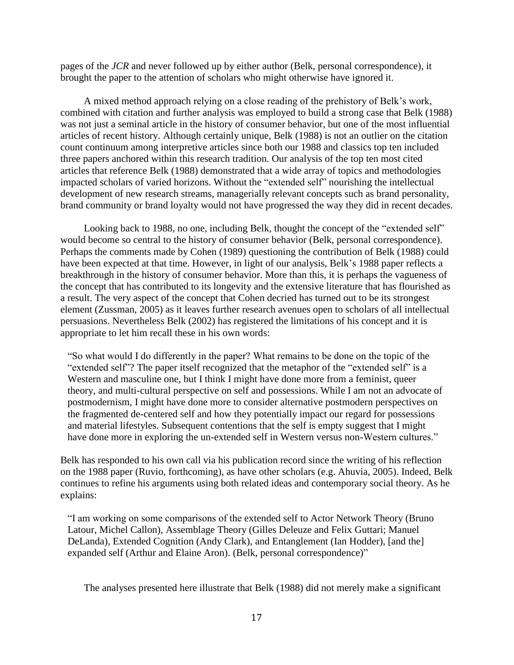pages of the *JCR* and never followed up by either author (Belk, personal correspondence), it brought the paper to the attention of scholars who might otherwise have ignored it.

A mixed method approach relying on a close reading of the prehistory of Belk's work, combined with citation and further analysis was employed to build a strong case that Belk (1988) was not just a seminal article in the history of consumer behavior, but one of the most influential articles of recent history. Although certainly unique, Belk (1988) is not an outlier on the citation count continuum among interpretive articles since both our 1988 and classics top ten included three papers anchored within this research tradition. Our analysis of the top ten most cited articles that reference Belk (1988) demonstrated that a wide array of topics and methodologies impacted scholars of varied horizons. Without the "extended self" nourishing the intellectual development of new research streams, managerially relevant concepts such as brand personality, brand community or brand loyalty would not have progressed the way they did in recent decades.

Looking back to 1988, no one, including Belk, thought the concept of the "extended self" would become so central to the history of consumer behavior (Belk, personal correspondence). Perhaps the comments made by Cohen (1989) questioning the contribution of Belk (1988) could have been expected at that time. However, in light of our analysis, Belk's 1988 paper reflects a breakthrough in the history of consumer behavior. More than this, it is perhaps the vagueness of the concept that has contributed to its longevity and the extensive literature that has flourished as a result. The very aspect of the concept that Cohen decried has turned out to be its strongest element (Zussman, 2005) as it leaves further research avenues open to scholars of all intellectual persuasions. Nevertheless Belk (2002) has registered the limitations of his concept and it is appropriate to let him recall these in his own words:

"So what would I do differently in the paper? What remains to be done on the topic of the "extended self"? The paper itself recognized that the metaphor of the "extended self" is a Western and masculine one, but I think I might have done more from a feminist, queer theory, and multi-cultural perspective on self and possessions. While I am not an advocate of postmodernism, I might have done more to consider alternative postmodern perspectives on the fragmented de-centered self and how they potentially impact our regard for possessions and material lifestyles. Subsequent contentions that the self is empty suggest that I might have done more in exploring the un-extended self in Western versus non-Western cultures."

Belk has responded to his own call via his publication record since the writing of his reflection on the 1988 paper (Ruvio, forthcoming), as have other scholars (e.g. Ahuvia, 2005). Indeed, Belk continues to refine his arguments using both related ideas and contemporary social theory. As he explains:

"I am working on some comparisons of the extended self to Actor Network Theory (Bruno Latour, Michel Callon), Assemblage Theory (Gilles Deleuze and Felix Guttari; Manuel DeLanda), Extended Cognition (Andy Clark), and Entanglement (Ian Hodder), [and the] expanded self (Arthur and Elaine Aron). (Belk, personal correspondence)"

The analyses presented here illustrate that Belk (1988) did not merely make a significant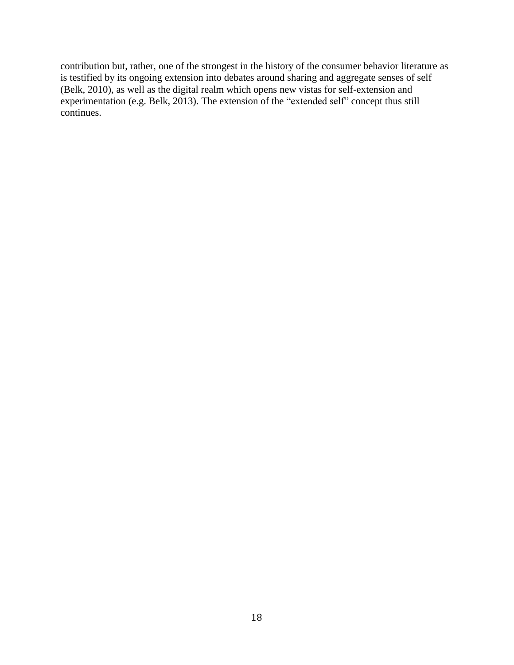contribution but, rather, one of the strongest in the history of the consumer behavior literature as is testified by its ongoing extension into debates around sharing and aggregate senses of self (Belk, 2010), as well as the digital realm which opens new vistas for self-extension and experimentation (e.g. Belk, 2013). The extension of the "extended self" concept thus still continues.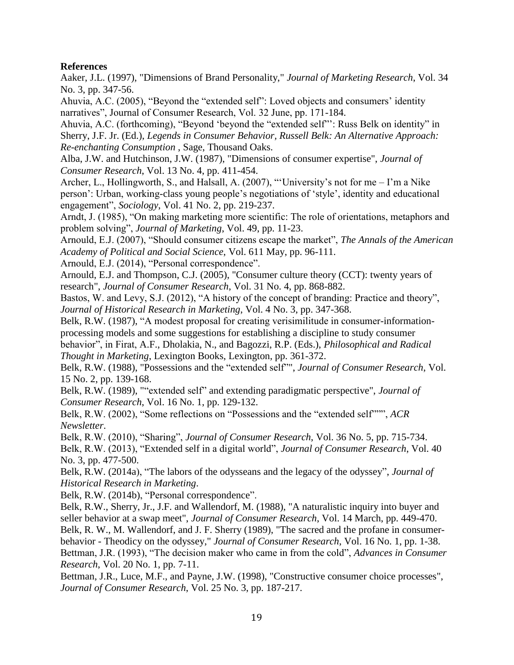### **References**

Aaker, J.L. (1997), "Dimensions of Brand Personality," *Journal of Marketing Research*, Vol. 34 No. 3, pp. 347-56.

Ahuvia, A.C. (2005), "Beyond the "extended self": Loved objects and consumers' identity narratives", Journal of Consumer Research, Vol. 32 June, pp. 171-184.

Ahuvia, A.C. (forthcoming), "Beyond 'beyond the "extended self"': Russ Belk on identity" in Sherry, J.F. Jr. (Ed.), *Legends in Consumer Behavior, Russell Belk: An Alternative Approach: Re-enchanting Consumption* , Sage, Thousand Oaks.

Alba, J.W. and Hutchinson, J.W. (1987), "Dimensions of consumer expertise", *Journal of Consumer Research*, Vol. 13 No. 4, pp. 411-454.

Archer, L., Hollingworth, S., and Halsall, A. (2007), "'University's not for me – I'm a Nike person': Urban, working-class young people's negotiations of 'style', identity and educational engagement", *Sociology*, Vol. 41 No. 2, pp. 219-237.

Arndt, J. (1985), "On making marketing more scientific: The role of orientations, metaphors and problem solving", *Journal of Marketing*, Vol. 49, pp. 11-23.

Arnould, E.J. (2007), "Should consumer citizens escape the market", *The Annals of the American Academy of Political and Social Science*, Vol. 611 May, pp. 96-111.

Arnould, E.J. (2014), "Personal correspondence".

Arnould, E.J. and Thompson, C.J. (2005), "Consumer culture theory (CCT): twenty years of research", *Journal of Consumer Research*, Vol. 31 No. 4, pp. 868-882.

Bastos, W. and Levy, S.J. (2012), "A history of the concept of branding: Practice and theory", *Journal of Historical Research in Marketing*, Vol. 4 No. 3, pp. 347-368.

Belk, R.W. (1987), "A modest proposal for creating verisimilitude in consumer-informationprocessing models and some suggestions for establishing a discipline to study consumer behavior", in Firat, A.F., Dholakia, N., and Bagozzi, R.P. (Eds.), *Philosophical and Radical Thought in Marketing*, Lexington Books, Lexington, pp. 361-372.

Belk, R.W. (1988), "Possessions and the "extended self"", *Journal of Consumer Research*, Vol. 15 No. 2, pp. 139-168.

Belk, R.W. (1989), ""extended self" and extending paradigmatic perspective", *Journal of Consumer Research*, Vol. 16 No. 1, pp. 129-132.

Belk, R.W. (2002), "Some reflections on "Possessions and the "extended self""", *ACR Newsletter*.

Belk, R.W. (2010), "Sharing", *Journal of Consumer Research*, Vol. 36 No. 5, pp. 715-734.

Belk, R.W. (2013), "Extended self in a digital world", *Journal of Consumer Research*, Vol. 40 No. 3, pp. 477-500.

Belk, R.W. (2014a), "The labors of the odysseans and the legacy of the odyssey", *Journal of Historical Research in Marketing*.

Belk, R.W. (2014b), "Personal correspondence".

Belk, R.W., Sherry, Jr., J.F. and Wallendorf, M. (1988), "A naturalistic inquiry into buyer and seller behavior at a swap meet", *Journal of Consumer Research*, Vol. 14 March, pp. 449-470.

Belk, R. W., M. Wallendorf, and J. F. Sherry (1989), "The sacred and the profane in consumerbehavior - Theodicy on the odyssey," *Journal of Consumer Research*, Vol. 16 No. 1, pp. 1-38. Bettman, J.R. (1993), "The decision maker who came in from the cold", *Advances in Consumer Research*, Vol. 20 No. 1, pp. 7-11.

Bettman, J.R., Luce, M.F., and Payne, J.W. (1998), "Constructive consumer choice processes", *Journal of Consumer Research*, Vol. 25 No. 3, pp. 187-217.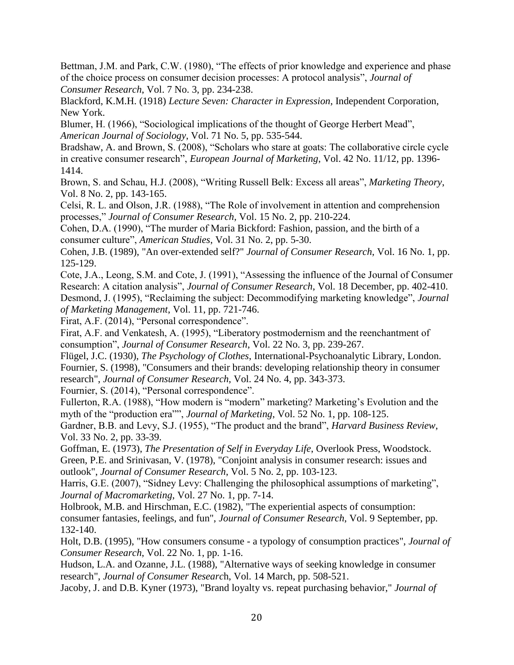Bettman, J.M. and Park, C.W. (1980), "The effects of prior knowledge and experience and phase of the choice process on consumer decision processes: A protocol analysis", *Journal of Consumer Research*, Vol. 7 No. 3, pp. 234-238.

Blackford, K.M.H. (1918) *Lecture Seven: Character in Expression*, Independent Corporation, New York.

Blumer, H. (1966), "Sociological implications of the thought of George Herbert Mead", *American Journal of Sociology*, Vol. 71 No. 5, pp. 535-544.

Bradshaw, A. and Brown, S. (2008), "Scholars who stare at goats: The collaborative circle cycle in creative consumer research", *European Journal of Marketing*, Vol. 42 No. 11/12, pp. 1396- 1414.

Brown, S. and Schau, H.J. (2008), "Writing Russell Belk: Excess all areas", *Marketing Theory*, Vol. 8 No. 2, pp. 143-165.

Celsi, R. L. and Olson, J.R. (1988), "The Role of involvement in attention and comprehension processes," *Journal of Consumer Research*, Vol. 15 No. 2, pp. 210-224.

Cohen, D.A. (1990), "The murder of Maria Bickford: Fashion, passion, and the birth of a consumer culture", *American Studies*, Vol. 31 No. 2, pp. 5-30.

Cohen, J.B. (1989), "An over-extended self?" *Journal of Consumer Research*, Vol. 16 No. 1, pp. 125-129.

Cote, J.A., Leong, S.M. and Cote, J. (1991), "Assessing the influence of the Journal of Consumer Research: A citation analysis", *Journal of Consumer Research*, Vol. 18 December, pp. 402-410. Desmond, J. (1995), "Reclaiming the subject: Decommodifying marketing knowledge", *Journal of Marketing Management*, Vol. 11, pp. 721-746.

Firat, A.F. (2014), "Personal correspondence".

Firat, A.F. and Venkatesh, A. (1995), "Liberatory postmodernism and the reenchantment of consumption", *Journal of Consumer Research*, Vol. 22 No. 3, pp. 239-267.

Flügel, J.C. (1930), *The Psychology of Clothes*, International-Psychoanalytic Library, London. Fournier, S. (1998), "Consumers and their brands: developing relationship theory in consumer research", *Journal of Consumer Research*, Vol. 24 No. 4, pp. 343-373.

Fournier, S. (2014), "Personal correspondence".

Fullerton, R.A. (1988), "How modern is "modern" marketing? Marketing's Evolution and the myth of the "production era"", *Journal of Marketing*, Vol. 52 No. 1, pp. 108-125.

Gardner, B.B. and Levy, S.J. (1955), "The product and the brand", *Harvard Business Review*, Vol. 33 No. 2, pp. 33-39.

Goffman, E. (1973), *The Presentation of Self in Everyday Life*, Overlook Press, Woodstock. Green, P.E. and Srinivasan, V. (1978), "Conjoint analysis in consumer research: issues and outlook", *Journal of Consumer Research*, Vol. 5 No. 2, pp. 103-123.

Harris, G.E. (2007), "Sidney Levy: Challenging the philosophical assumptions of marketing", *Journal of Macromarketing*, Vol. 27 No. 1, pp. 7-14.

Holbrook, M.B. and Hirschman, E.C. (1982), "The experiential aspects of consumption: consumer fantasies, feelings, and fun", *Journal of Consumer Research*, Vol. 9 September, pp. 132-140.

Holt, D.B. (1995), "How consumers consume - a typology of consumption practices", *Journal of Consumer Research*, Vol. 22 No. 1, pp. 1-16.

Hudson, L.A. and Ozanne, J.L. (1988), "Alternative ways of seeking knowledge in consumer research", *Journal of Consumer Researc*h, Vol. 14 March, pp. 508-521.

Jacoby, J. and D.B. Kyner (1973), "Brand loyalty vs. repeat purchasing behavior," *Journal of*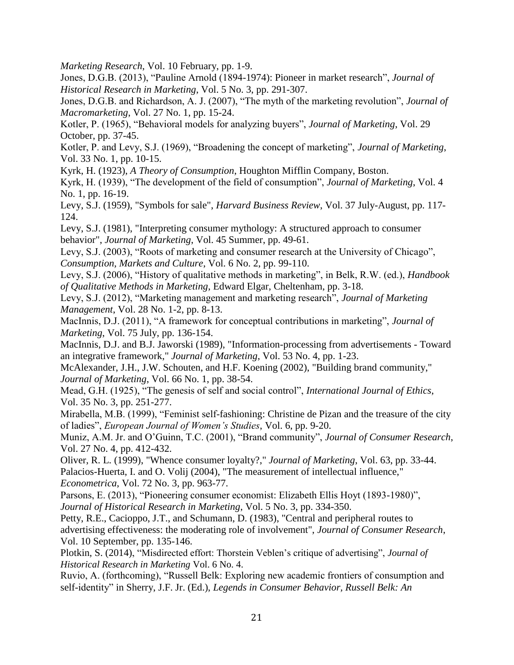*Marketing Research*, Vol. 10 February, pp. 1-9.

Jones, D.G.B. (2013), "Pauline Arnold (1894-1974): Pioneer in market research", *Journal of Historical Research in Marketing*, Vol. 5 No. 3, pp. 291-307.

Jones, D.G.B. and Richardson, A. J. (2007), "The myth of the marketing revolution", *Journal of Macromarketing*, Vol. 27 No. 1, pp. 15-24.

Kotler, P. (1965), "Behavioral models for analyzing buyers", *Journal of Marketing*, Vol. 29 October, pp. 37-45.

Kotler, P. and Levy, S.J. (1969), "Broadening the concept of marketing", *Journal of Marketing*, Vol. 33 No. 1, pp. 10-15.

Kyrk, H. (1923), *A Theory of Consumption*, Houghton Mifflin Company, Boston.

Kyrk, H. (1939), "The development of the field of consumption", *Journal of Marketing*, Vol. 4 No. 1, pp. 16-19.

Levy, S.J. (1959), "Symbols for sale", *Harvard Business Review*, Vol. 37 July-August, pp. 117- 124.

Levy, S.J. (1981), "Interpreting consumer mythology: A structured approach to consumer behavior", *Journal of Marketing*, Vol. 45 Summer, pp. 49-61.

Levy, S.J. (2003), "Roots of marketing and consumer research at the University of Chicago", *Consumption, Markets and Culture*, Vol. 6 No. 2, pp. 99-110.

Levy, S.J. (2006), "History of qualitative methods in marketing", in Belk, R.W. (ed.), *Handbook of Qualitative Methods in Marketing*, Edward Elgar, Cheltenham, pp. 3-18.

Levy, S.J. (2012), "Marketing management and marketing research", *Journal of Marketing Management*, Vol. 28 No. 1-2, pp. 8-13.

MacInnis, D.J. (2011), "A framework for conceptual contributions in marketing", *Journal of Marketing*, Vol. 75 July, pp. 136-154.

MacInnis, D.J. and B.J. Jaworski (1989), "Information-processing from advertisements - Toward an integrative framework," *Journal of Marketing*, Vol. 53 No. 4, pp. 1-23.

McAlexander, J.H., J.W. Schouten, and H.F. Koening (2002), "Building brand community," *Journal of Marketing*, Vol. 66 No. 1, pp. 38-54.

Mead, G.H. (1925), "The genesis of self and social control", *International Journal of Ethics*, Vol. 35 No. 3, pp. 251-277.

Mirabella, M.B. (1999), "Feminist self-fashioning: Christine de Pizan and the treasure of the city of ladies", *European Journal of Women's Studies*, Vol. 6, pp. 9-20.

Muniz, A.M. Jr. and O'Guinn, T.C. (2001), "Brand community", *Journal of Consumer Research*, Vol. 27 No. 4, pp. 412-432.

Oliver, R. L. (1999), "Whence consumer loyalty?," *Journal of Marketing*, Vol. 63, pp. 33-44. Palacios-Huerta, I. and O. Volij (2004), "The measurement of intellectual influence," *Econometrica*, Vol. 72 No. 3, pp. 963-77.

Parsons, E. (2013), "Pioneering consumer economist: Elizabeth Ellis Hoyt (1893-1980)", *Journal of Historical Research in Marketing*, Vol. 5 No. 3, pp. 334-350.

Petty, R.E., Cacioppo, J.T., and Schumann, D. (1983), "Central and peripheral routes to advertising effectiveness: the moderating role of involvement", *Journal of Consumer Research*, Vol. 10 September, pp. 135-146.

Plotkin, S. (2014), "Misdirected effort: Thorstein Veblen's critique of advertising", *Journal of Historical Research in Marketing* Vol. 6 No. 4.

Ruvio, A. (forthcoming), "Russell Belk: Exploring new academic frontiers of consumption and self-identity" in Sherry, J.F. Jr. (Ed.), *Legends in Consumer Behavior, Russell Belk: An*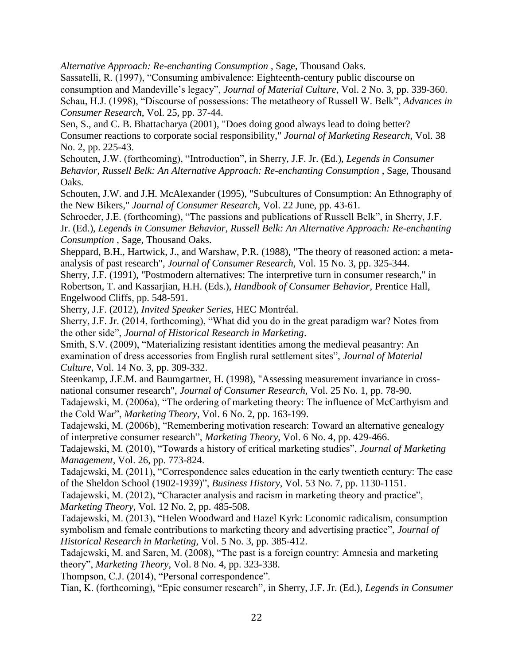*Alternative Approach: Re-enchanting Consumption* , Sage, Thousand Oaks.

Sassatelli, R. (1997), "Consuming ambivalence: Eighteenth-century public discourse on consumption and Mandeville's legacy", *Journal of Material Culture*, Vol. 2 No. 3, pp. 339-360. Schau, H.J. (1998), "Discourse of possessions: The metatheory of Russell W. Belk", *Advances in Consumer Research*, Vol. 25, pp. 37-44.

Sen, S., and C. B. Bhattacharya (2001), "Does doing good always lead to doing better? Consumer reactions to corporate social responsibility," *Journal of Marketing Research*, Vol. 38 No. 2, pp. 225-43.

Schouten, J.W. (forthcoming), "Introduction", in Sherry, J.F. Jr. (Ed.), *Legends in Consumer Behavior, Russell Belk: An Alternative Approach: Re-enchanting Consumption* , Sage, Thousand Oaks.

Schouten, J.W. and J.H. McAlexander (1995), "Subcultures of Consumption: An Ethnography of the New Bikers," *Journal of Consumer Research*, Vol. 22 June, pp. 43-61.

Schroeder, J.E. (forthcoming), "The passions and publications of Russell Belk", in Sherry, J.F. Jr. (Ed.), *Legends in Consumer Behavior, Russell Belk: An Alternative Approach: Re-enchanting Consumption* , Sage, Thousand Oaks.

Sheppard, B.H., Hartwick, J., and Warshaw, P.R. (1988), "The theory of reasoned action: a metaanalysis of past research", *Journal of Consumer Research*, Vol. 15 No. 3, pp. 325-344.

Sherry, J.F. (1991), "Postmodern alternatives: The interpretive turn in consumer research," in Robertson, T. and Kassarjian, H.H. (Eds.), *Handbook of Consumer Behavior,* Prentice Hall, Engelwood Cliffs, pp. 548-591.

Sherry, J.F. (2012), *Invited Speaker Series*, HEC Montréal.

Sherry, J.F. Jr. (2014, forthcoming), "What did you do in the great paradigm war? Notes from the other side", *Journal of Historical Research in Marketing*.

Smith, S.V. (2009), "Materializing resistant identities among the medieval peasantry: An examination of dress accessories from English rural settlement sites", *Journal of Material Culture*, Vol. 14 No. 3, pp. 309-332.

Steenkamp, J.E.M. and Baumgartner, H. (1998), "Assessing measurement invariance in crossnational consumer research", *Journal of Consumer Research*, Vol. 25 No. 1, pp. 78-90.

Tadajewski, M. (2006a), "The ordering of marketing theory: The influence of McCarthyism and the Cold War", *Marketing Theory*, Vol. 6 No. 2, pp. 163-199.

Tadajewski, M. (2006b), "Remembering motivation research: Toward an alternative genealogy of interpretive consumer research", *Marketing Theory*, Vol. 6 No. 4, pp. 429-466.

Tadajewski, M. (2010), "Towards a history of critical marketing studies", *Journal of Marketing Management*, Vol. 26, pp. 773-824.

Tadajewski, M. (2011), "Correspondence sales education in the early twentieth century: The case of the Sheldon School (1902-1939)", *Business History*, Vol. 53 No. 7, pp. 1130-1151.

Tadajewski, M. (2012), "Character analysis and racism in marketing theory and practice", *Marketing Theory*, Vol. 12 No. 2, pp. 485-508.

Tadajewski, M. (2013), "Helen Woodward and Hazel Kyrk: Economic radicalism, consumption symbolism and female contributions to marketing theory and advertising practice", *Journal of Historical Research in Marketing*, Vol. 5 No. 3, pp. 385-412.

Tadajewski, M. and Saren, M. (2008), "The past is a foreign country: Amnesia and marketing theory", *Marketing Theory*, Vol. 8 No. 4, pp. 323-338.

Thompson, C.J. (2014), "Personal correspondence".

Tian, K. (forthcoming), "Epic consumer research", in Sherry, J.F. Jr. (Ed.), *Legends in Consumer*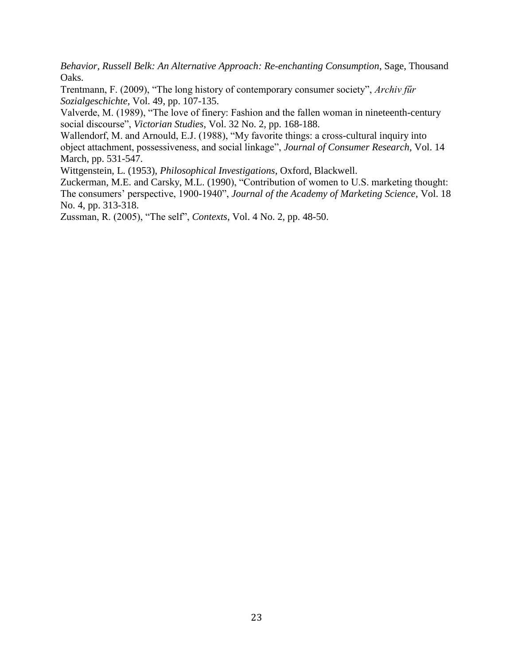*Behavior, Russell Belk: An Alternative Approach: Re-enchanting Consumption*, Sage, Thousand Oaks.

Trentmann, F. (2009), "The long history of contemporary consumer society", *Archiv fűr Sozialgeschichte,* Vol. 49, pp. 107-135.

Valverde, M. (1989), "The love of finery: Fashion and the fallen woman in nineteenth-century social discourse", *Victorian Studies*, Vol. 32 No. 2, pp. 168-188.

Wallendorf, M. and Arnould, E.J. (1988), "My favorite things: a cross-cultural inquiry into object attachment, possessiveness, and social linkage", *Journal of Consumer Research*, Vol. 14 March, pp. 531-547.

Wittgenstein, L. (1953), *Philosophical Investigations*, Oxford, Blackwell.

Zuckerman, M.E. and Carsky, M.L. (1990), "Contribution of women to U.S. marketing thought: The consumers' perspective, 1900-1940", *Journal of the Academy of Marketing Science*, Vol. 18 No. 4, pp. 313-318.

Zussman, R. (2005), "The self", *Contexts*, Vol. 4 No. 2, pp. 48-50.